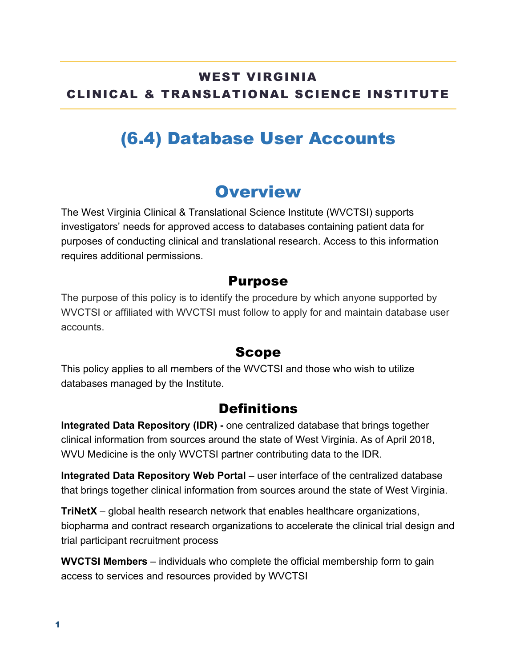### WEST VIRGINIA CLINICAL & TRANSLATIONAL SCIENCE INSTITUTE

# (6.4) Database User Accounts

## **Overview**

The West Virginia Clinical & Translational Science Institute (WVCTSI) supports investigators' needs for approved access to databases containing patient data for purposes of conducting clinical and translational research. Access to this information requires additional permissions.

#### Purpose

The purpose of this policy is to identify the procedure by which anyone supported by WVCTSI or affiliated with WVCTSI must follow to apply for and maintain database user accounts.

### Scope

This policy applies to all members of the WVCTSI and those who wish to utilize databases managed by the Institute.

### **Definitions**

**Integrated Data Repository (IDR) -** one centralized database that brings together clinical information from sources around the state of West Virginia. As of April 2018, WVU Medicine is the only WVCTSI partner contributing data to the IDR.

**Integrated Data Repository Web Portal** – user interface of the centralized database that brings together clinical information from sources around the state of West Virginia.

**TriNetX** – global health research network that enables healthcare organizations, biopharma and contract research organizations to accelerate the clinical trial design and trial participant recruitment process

**WVCTSI Members** – individuals who complete the official membership form to gain access to services and resources provided by WVCTSI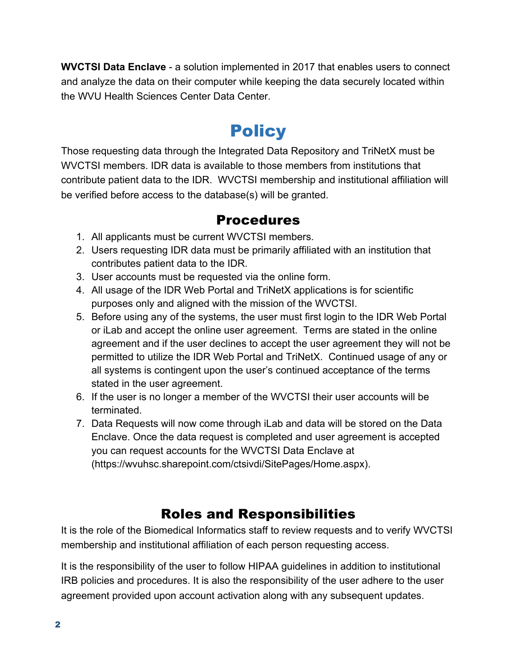**WVCTSI Data Enclave** - a solution implemented in 2017 that enables users to connect and analyze the data on their computer while keeping the data securely located within the WVU Health Sciences Center Data Center.

## **Policy**

Those requesting data through the Integrated Data Repository and TriNetX must be WVCTSI members. IDR data is available to those members from institutions that contribute patient data to the IDR. WVCTSI membership and institutional affiliation will be verified before access to the database(s) will be granted.

#### Procedures

- 1. All applicants must be current WVCTSI members.
- 2. Users requesting IDR data must be primarily affiliated with an institution that contributes patient data to the IDR.
- 3. User accounts must be requested via the online form.
- 4. All usage of the IDR Web Portal and TriNetX applications is for scientific purposes only and aligned with the mission of the WVCTSI.
- 5. Before using any of the systems, the user must first login to the IDR Web Portal or iLab and accept the online user agreement. Terms are stated in the online agreement and if the user declines to accept the user agreement they will not be permitted to utilize the IDR Web Portal and TriNetX. Continued usage of any or all systems is contingent upon the user's continued acceptance of the terms stated in the user agreement.
- 6. If the user is no longer a member of the WVCTSI their user accounts will be terminated.
- 7. Data Requests will now come through iLab and data will be stored on the Data Enclave. Once the data request is completed and user agreement is accepted you can request accounts for the WVCTSI Data Enclave at (https://wvuhsc.sharepoint.com/ctsivdi/SitePages/Home.aspx).

### Roles and Responsibilities

It is the role of the Biomedical Informatics staff to review requests and to verify WVCTSI membership and institutional affiliation of each person requesting access.

It is the responsibility of the user to follow HIPAA guidelines in addition to institutional IRB policies and procedures. It is also the responsibility of the user adhere to the user agreement provided upon account activation along with any subsequent updates.